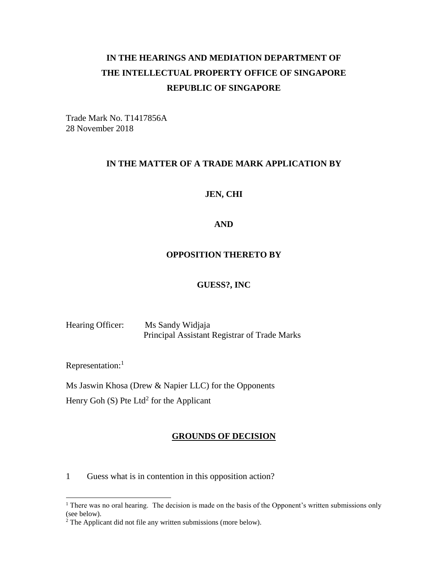# **IN THE HEARINGS AND MEDIATION DEPARTMENT OF THE INTELLECTUAL PROPERTY OFFICE OF SINGAPORE REPUBLIC OF SINGAPORE**

Trade Mark No. T1417856A 28 November 2018

#### **IN THE MATTER OF A TRADE MARK APPLICATION BY**

#### **JEN, CHI**

#### **AND**

#### **OPPOSITION THERETO BY**

#### **GUESS?, INC**

Hearing Officer: Ms Sandy Widjaja Principal Assistant Registrar of Trade Marks

Representation:<sup>1</sup>

 $\overline{a}$ 

Ms Jaswin Khosa (Drew & Napier LLC) for the Opponents

Henry Goh (S) Pte Ltd<sup>2</sup> for the Applicant

#### **GROUNDS OF DECISION**

1 Guess what is in contention in this opposition action?

 $1$  There was no oral hearing. The decision is made on the basis of the Opponent's written submissions only (see below).

 $2$  The Applicant did not file any written submissions (more below).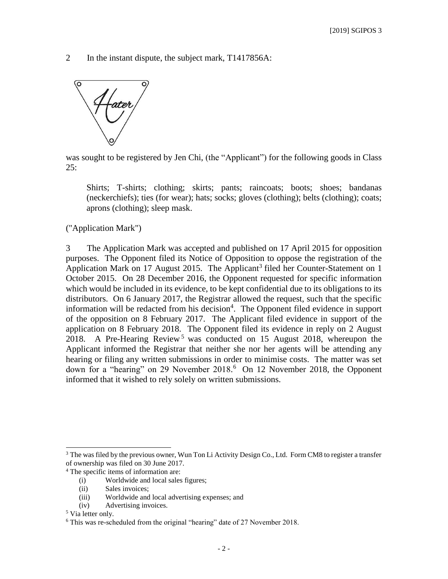2 In the instant dispute, the subject mark, T1417856A:



was sought to be registered by Jen Chi, (the "Applicant") for the following goods in Class  $25:$ 

Shirts; T-shirts; clothing; skirts; pants; raincoats; boots; shoes; bandanas (neckerchiefs); ties (for wear); hats; socks; gloves (clothing); belts (clothing); coats; aprons (clothing); sleep mask.

("Application Mark")

3 The Application Mark was accepted and published on 17 April 2015 for opposition purposes. The Opponent filed its Notice of Opposition to oppose the registration of the Application Mark on 17 August 2015. The Applicant<sup>3</sup> filed her Counter-Statement on 1 October 2015. On 28 December 2016, the Opponent requested for specific information which would be included in its evidence, to be kept confidential due to its obligations to its distributors. On 6 January 2017, the Registrar allowed the request, such that the specific information will be redacted from his decision<sup>4</sup>. The Opponent filed evidence in support of the opposition on 8 February 2017. The Applicant filed evidence in support of the application on 8 February 2018. The Opponent filed its evidence in reply on 2 August 2018. A Pre-Hearing Review<sup>5</sup> was conducted on 15 August 2018, whereupon the Applicant informed the Registrar that neither she nor her agents will be attending any hearing or filing any written submissions in order to minimise costs. The matter was set down for a "hearing" on 29 November 2018. 6 On 12 November 2018, the Opponent informed that it wished to rely solely on written submissions.

<sup>&</sup>lt;sup>3</sup> The was filed by the previous owner, Wun Ton Li Activity Design Co., Ltd. Form CM8 to register a transfer of ownership was filed on 30 June 2017.

<sup>4</sup> The specific items of information are:

<sup>(</sup>i) Worldwide and local sales figures;

<sup>(</sup>ii) Sales invoices;

<sup>(</sup>iii) Worldwide and local advertising expenses; and

<sup>(</sup>iv) Advertising invoices.

<sup>5</sup> Via letter only.

<sup>6</sup> This was re-scheduled from the original "hearing" date of 27 November 2018.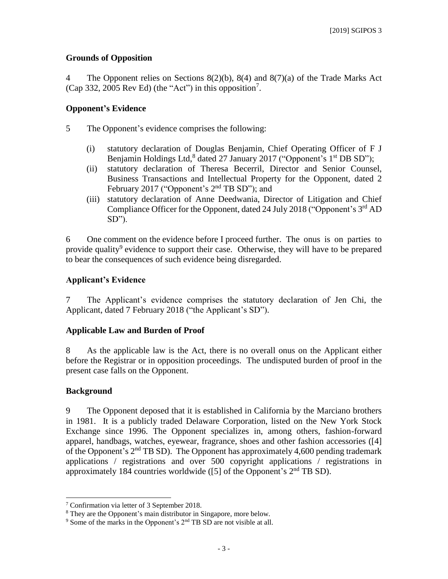### **Grounds of Opposition**

4 The Opponent relies on Sections 8(2)(b), 8(4) and 8(7)(a) of the Trade Marks Act (Cap 332, 2005 Rev Ed) (the "Act") in this opposition<sup>7</sup>.

### **Opponent's Evidence**

- 5 The Opponent's evidence comprises the following:
	- (i) statutory declaration of Douglas Benjamin, Chief Operating Officer of F J Benjamin Holdings Ltd,<sup>8</sup> dated 27 January 2017 ("Opponent's 1<sup>st</sup> DB SD");
	- (ii) statutory declaration of Theresa Becerril, Director and Senior Counsel, Business Transactions and Intellectual Property for the Opponent, dated 2 February 2017 ("Opponent's  $2<sup>nd</sup>$  TB SD"); and
	- (iii) statutory declaration of Anne Deedwania, Director of Litigation and Chief Compliance Officer for the Opponent, dated 24 July 2018 ("Opponent's 3<sup>rd</sup> AD SD").

6 One comment on the evidence before I proceed further. The onus is on parties to provide quality<sup>9</sup> evidence to support their case. Otherwise, they will have to be prepared to bear the consequences of such evidence being disregarded.

### **Applicant's Evidence**

7 The Applicant's evidence comprises the statutory declaration of Jen Chi, the Applicant, dated 7 February 2018 ("the Applicant's SD").

### **Applicable Law and Burden of Proof**

8 As the applicable law is the Act, there is no overall onus on the Applicant either before the Registrar or in opposition proceedings. The undisputed burden of proof in the present case falls on the Opponent.

### **Background**

 $\overline{a}$ 

9 The Opponent deposed that it is established in California by the Marciano brothers in 1981. It is a publicly traded Delaware Corporation, listed on the New York Stock Exchange since 1996. The Opponent specializes in, among others, fashion-forward apparel, handbags, watches, eyewear, fragrance, shoes and other fashion accessories ([4] of the Opponent's 2nd TB SD). The Opponent has approximately 4,600 pending trademark applications / registrations and over 500 copyright applications / registrations in approximately 184 countries worldwide ([5] of the Opponent's  $2<sup>nd</sup>$  TB SD).

<sup>7</sup> Confirmation via letter of 3 September 2018.

<sup>8</sup> They are the Opponent's main distributor in Singapore, more below.

 $9^9$  Some of the marks in the Opponent's  $2<sup>nd</sup>$  TB SD are not visible at all.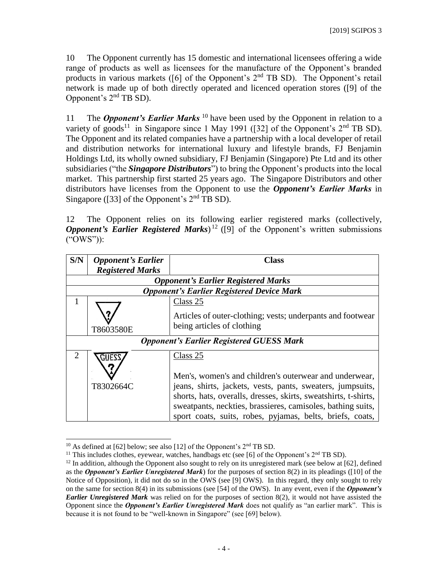10 The Opponent currently has 15 domestic and international licensees offering a wide range of products as well as licensees for the manufacture of the Opponent's branded products in various markets ( $[6]$  of the Opponent's  $2<sup>nd</sup>$  TB SD). The Opponent's retail network is made up of both directly operated and licenced operation stores ([9] of the Opponent's 2nd TB SD).

11 The *Opponent's Earlier Marks* <sup>10</sup> have been used by the Opponent in relation to a variety of goods<sup>11</sup> in Singapore since 1 May 1991 ([32] of the Opponent's  $2<sup>nd</sup>$  TB SD). The Opponent and its related companies have a partnership with a local developer of retail and distribution networks for international luxury and lifestyle brands, FJ Benjamin Holdings Ltd, its wholly owned subsidiary, FJ Benjamin (Singapore) Pte Ltd and its other subsidiaries ("the *Singapore Distributors*") to bring the Opponent's products into the local market. This partnership first started 25 years ago. The Singapore Distributors and other distributors have licenses from the Opponent to use the *Opponent's Earlier Marks* in Singapore ([33] of the Opponent's  $2<sup>nd</sup>$  TB SD).

12 The Opponent relies on its following earlier registered marks (collectively, *Opponent's Earlier Registered Marks*)<sup>12</sup> ([9] of the Opponent's written submissions ("OWS")):

| S/N            | <b>Opponent's Earlier</b><br><b>Registered Marks</b>            | Class                                                      |  |  |  |  |
|----------------|-----------------------------------------------------------------|------------------------------------------------------------|--|--|--|--|
|                | <b>Opponent's Earlier Registered Marks</b>                      |                                                            |  |  |  |  |
|                |                                                                 | <b>Opponent's Earlier Registered Device Mark</b>           |  |  |  |  |
| 1              |                                                                 | Class 25                                                   |  |  |  |  |
|                |                                                                 | Articles of outer-clothing; vests; underpants and footwear |  |  |  |  |
|                | T8603580E                                                       | being articles of clothing                                 |  |  |  |  |
|                |                                                                 | <b>Opponent's Earlier Registered GUESS Mark</b>            |  |  |  |  |
| $\overline{2}$ |                                                                 | Class 25                                                   |  |  |  |  |
|                |                                                                 | Men's, women's and children's outerwear and underwear,     |  |  |  |  |
|                | T8302664C                                                       | jeans, shirts, jackets, vests, pants, sweaters, jumpsuits, |  |  |  |  |
|                | shorts, hats, overalls, dresses, skirts, sweatshirts, t-shirts, |                                                            |  |  |  |  |
|                | sweatpants, neckties, brassieres, camisoles, bathing suits,     |                                                            |  |  |  |  |
|                | sport coats, suits, robes, pyjamas, belts, briefs, coats,       |                                                            |  |  |  |  |

 $\overline{a}$  $10$  As defined at [62] below; see also [12] of the Opponent's  $2<sup>nd</sup>$  TB SD.

<sup>&</sup>lt;sup>11</sup> This includes clothes, eyewear, watches, handbags etc (see [6] of the Opponent's  $2<sup>nd</sup>$  TB SD).

 $12$  In addition, although the Opponent also sought to rely on its unregistered mark (see below at [62], defined as the *Opponent's Earlier Unregistered Mark*) for the purposes of section 8(2) in its pleadings ([10] of the Notice of Opposition), it did not do so in the OWS (see [9] OWS). In this regard, they only sought to rely on the same for section 8(4) in its submissions (see [54] of the OWS). In any event, even if the *Opponent's Earlier Unregistered Mark* was relied on for the purposes of section 8(2), it would not have assisted the Opponent since the *Opponent's Earlier Unregistered Mark* does not qualify as "an earlier mark". This is because it is not found to be "well-known in Singapore" (see [69] below).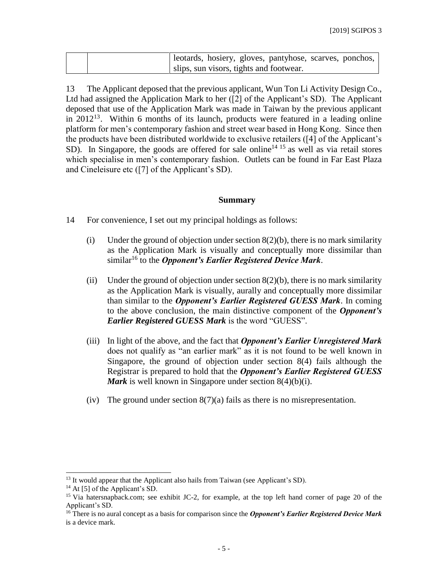| electards, hosiery, gloves, pantyhose, scarves, ponchos, |
|----------------------------------------------------------|
| slips, sun visors, tights and footwear.                  |

13 The Applicant deposed that the previous applicant, Wun Ton Li Activity Design Co., Ltd had assigned the Application Mark to her ([2] of the Applicant's SD). The Applicant deposed that use of the Application Mark was made in Taiwan by the previous applicant in 2012<sup>13</sup>. Within 6 months of its launch, products were featured in a leading online platform for men's contemporary fashion and street wear based in Hong Kong. Since then the products have been distributed worldwide to exclusive retailers ([4] of the Applicant's SD). In Singapore, the goods are offered for sale online<sup>14 15</sup> as well as via retail stores which specialise in men's contemporary fashion. Outlets can be found in Far East Plaza and Cineleisure etc ([7] of the Applicant's SD).

#### **Summary**

14 For convenience, I set out my principal holdings as follows:

- (i) Under the ground of objection under section  $8(2)(b)$ , there is no mark similarity as the Application Mark is visually and conceptually more dissimilar than similar<sup>16</sup> to the *Opponent's Earlier Registered Device Mark*.
- (ii) Under the ground of objection under section  $8(2)(b)$ , there is no mark similarity as the Application Mark is visually, aurally and conceptually more dissimilar than similar to the *Opponent's Earlier Registered GUESS Mark*. In coming to the above conclusion, the main distinctive component of the *Opponent's Earlier Registered GUESS Mark* is the word "GUESS".
- (iii) In light of the above, and the fact that *Opponent's Earlier Unregistered Mark* does not qualify as "an earlier mark" as it is not found to be well known in Singapore, the ground of objection under section 8(4) fails although the Registrar is prepared to hold that the *Opponent's Earlier Registered GUESS Mark* is well known in Singapore under section 8(4)(b)(i).
- (iv) The ground under section 8(7)(a) fails as there is no misrepresentation.

 $13$  It would appear that the Applicant also hails from Taiwan (see Applicant's SD).

 $14$  At [5] of the Applicant's SD.

<sup>&</sup>lt;sup>15</sup> Via hatersnapback.com; see exhibit JC-2, for example, at the top left hand corner of page 20 of the Applicant's SD.

<sup>16</sup> There is no aural concept as a basis for comparison since the *Opponent's Earlier Registered Device Mark* is a device mark.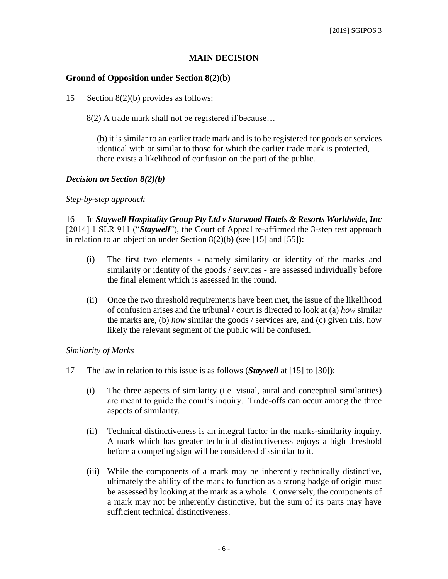#### **MAIN DECISION**

#### **Ground of Opposition under Section 8(2)(b)**

15 Section 8(2)(b) provides as follows:

8(2) A trade mark shall not be registered if because…

(b) it is similar to an earlier trade mark and is to be registered for goods or services identical with or similar to those for which the earlier trade mark is protected, there exists a likelihood of confusion on the part of the public.

#### *Decision on Section 8(2)(b)*

#### *Step-by-step approach*

16 In *Staywell Hospitality Group Pty Ltd v Starwood Hotels & Resorts Worldwide, Inc*  [2014] 1 SLR 911 ("*Staywell*"), the Court of Appeal re-affirmed the 3-step test approach in relation to an objection under Section 8(2)(b) (see [15] and [55]):

- (i) The first two elements namely similarity or identity of the marks and similarity or identity of the goods / services - are assessed individually before the final element which is assessed in the round.
- (ii) Once the two threshold requirements have been met, the issue of the likelihood of confusion arises and the tribunal / court is directed to look at (a) *how* similar the marks are, (b) *how* similar the goods / services are, and (c) given this, how likely the relevant segment of the public will be confused.

#### *Similarity of Marks*

- 17 The law in relation to this issue is as follows (*Staywell* at [15] to [30]):
	- (i) The three aspects of similarity (i.e. visual, aural and conceptual similarities) are meant to guide the court's inquiry. Trade-offs can occur among the three aspects of similarity.
	- (ii) Technical distinctiveness is an integral factor in the marks-similarity inquiry. A mark which has greater technical distinctiveness enjoys a high threshold before a competing sign will be considered dissimilar to it.
	- (iii) While the components of a mark may be inherently technically distinctive, ultimately the ability of the mark to function as a strong badge of origin must be assessed by looking at the mark as a whole. Conversely, the components of a mark may not be inherently distinctive, but the sum of its parts may have sufficient technical distinctiveness.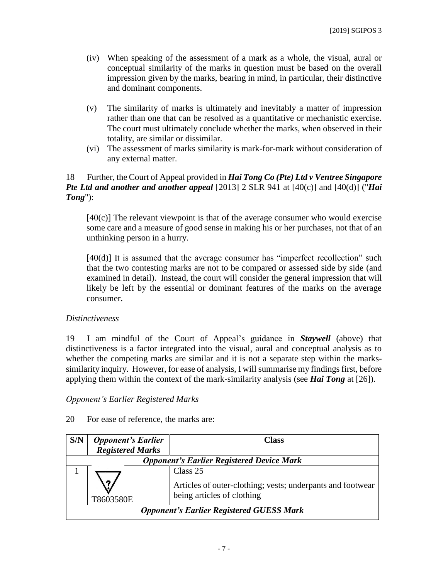- (iv) When speaking of the assessment of a mark as a whole, the visual, aural or conceptual similarity of the marks in question must be based on the overall impression given by the marks, bearing in mind, in particular, their distinctive and dominant components.
- (v) The similarity of marks is ultimately and inevitably a matter of impression rather than one that can be resolved as a quantitative or mechanistic exercise. The court must ultimately conclude whether the marks, when observed in their totality, are similar or dissimilar.
- (vi) The assessment of marks similarity is mark-for-mark without consideration of any external matter.

### 18 Further, the Court of Appeal provided in *Hai Tong Co (Pte) Ltd v Ventree Singapore Pte Ltd and another and another appeal* [2013] 2 SLR 941 at [40(c)] and [40(d)] ("*Hai Tong*"):

 $[40(c)]$  The relevant viewpoint is that of the average consumer who would exercise some care and a measure of good sense in making his or her purchases, not that of an unthinking person in a hurry.

[40(d)] It is assumed that the average consumer has "imperfect recollection" such that the two contesting marks are not to be compared or assessed side by side (and examined in detail). Instead, the court will consider the general impression that will likely be left by the essential or dominant features of the marks on the average consumer.

### *Distinctiveness*

19 I am mindful of the Court of Appeal's guidance in *Staywell* (above) that distinctiveness is a factor integrated into the visual, aural and conceptual analysis as to whether the competing marks are similar and it is not a separate step within the markssimilarity inquiry. However, for ease of analysis, I will summarise my findings first, before applying them within the context of the mark-similarity analysis (see *Hai Tong* at [26]).

### *Opponent's Earlier Registered Marks*

#### 20 For ease of reference, the marks are:

| S/N       | <b>Opponent's Earlier</b>                       | Class                                                                                                |  |  |
|-----------|-------------------------------------------------|------------------------------------------------------------------------------------------------------|--|--|
|           | <b>Registered Marks</b>                         |                                                                                                      |  |  |
|           |                                                 | <b>Opponent's Earlier Registered Device Mark</b>                                                     |  |  |
| T8603580E |                                                 | Class 25<br>Articles of outer-clothing; vests; underpants and footwear<br>being articles of clothing |  |  |
|           | <b>Opponent's Earlier Registered GUESS Mark</b> |                                                                                                      |  |  |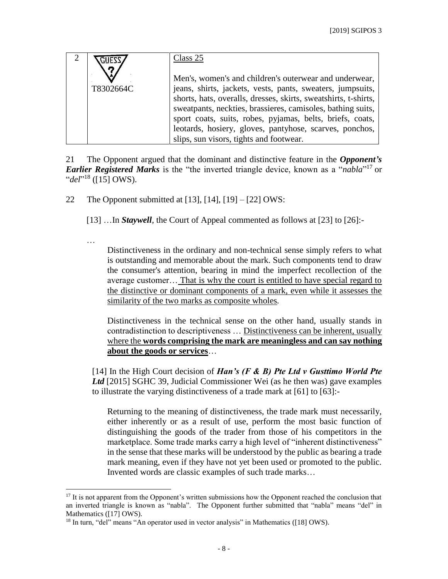|           | Class 25                                                                                                                                                                                                                                               |
|-----------|--------------------------------------------------------------------------------------------------------------------------------------------------------------------------------------------------------------------------------------------------------|
| T8302664C | Men's, women's and children's outerwear and underwear,<br>jeans, shirts, jackets, vests, pants, sweaters, jumpsuits,<br>shorts, hats, overalls, dresses, skirts, sweatshirts, t-shirts,<br>sweatpants, neckties, brassieres, camisoles, bathing suits, |
|           | sport coats, suits, robes, pyjamas, belts, briefs, coats,<br>leotards, hosiery, gloves, pantyhose, scarves, ponchos,<br>slips, sun visors, tights and footwear.                                                                                        |

21 The Opponent argued that the dominant and distinctive feature in the *Opponent's Earlier Registered Marks* is the "the inverted triangle device, known as a "*nabla*" <sup>17</sup> or "*del*" <sup>18</sup> ([15] OWS).

22 The Opponent submitted at [13], [14], [19] – [22] OWS:

…

[13] …In *Staywell*, the Court of Appeal commented as follows at [23] to [26]:-

Distinctiveness in the ordinary and non-technical sense simply refers to what is outstanding and memorable about the mark. Such components tend to draw the consumer's attention, bearing in mind the imperfect recollection of the average customer… That is why the court is entitled to have special regard to the distinctive or dominant components of a mark, even while it assesses the similarity of the two marks as composite wholes*.*

Distinctiveness in the technical sense on the other hand, usually stands in contradistinction to descriptiveness … Distinctiveness can be inherent, usually where the **words comprising the mark are meaningless and can say nothing about the goods or services**…

[14] In the High Court decision of *Han's (F & B) Pte Ltd v Gusttimo World Pte Ltd* [2015] SGHC 39, Judicial Commissioner Wei (as he then was) gave examples to illustrate the varying distinctiveness of a trade mark at [61] to [63]:-

Returning to the meaning of distinctiveness, the trade mark must necessarily, either inherently or as a result of use, perform the most basic function of distinguishing the goods of the trader from those of his competitors in the marketplace. Some trade marks carry a high level of "inherent distinctiveness" in the sense that these marks will be understood by the public as bearing a trade mark meaning, even if they have not yet been used or promoted to the public. Invented words are classic examples of such trade marks…

 $\overline{a}$  $17$  It is not apparent from the Opponent's written submissions how the Opponent reached the conclusion that an inverted triangle is known as "nabla". The Opponent further submitted that "nabla" means "del" in Mathematics ([17] OWS).

<sup>&</sup>lt;sup>18</sup> In turn, "del" means "An operator used in vector analysis" in Mathematics ([18] OWS).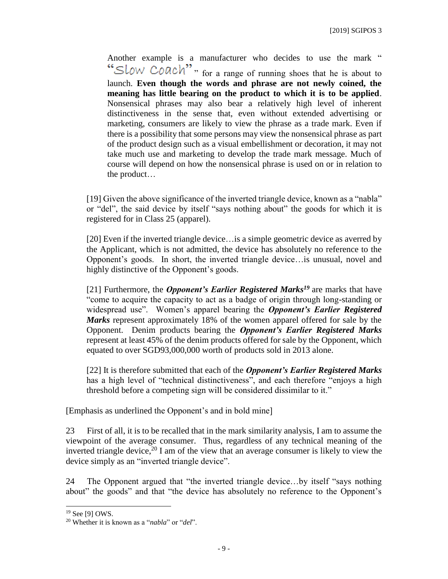Another example is a manufacturer who decides to use the mark " "SLOW COACh"" for a range of running shoes that he is about to launch. **Even though the words and phrase are not newly coined, the meaning has little bearing on the product to which it is to be applied**. Nonsensical phrases may also bear a relatively high level of inherent distinctiveness in the sense that, even without extended advertising or marketing, consumers are likely to view the phrase as a trade mark. Even if there is a possibility that some persons may view the nonsensical phrase as part of the product design such as a visual embellishment or decoration, it may not take much use and marketing to develop the trade mark message. Much of course will depend on how the nonsensical phrase is used on or in relation to the product…

[19] Given the above significance of the inverted triangle device, known as a "nabla" or "del", the said device by itself "says nothing about" the goods for which it is registered for in Class 25 (apparel).

[20] Even if the inverted triangle device... is a simple geometric device as averred by the Applicant, which is not admitted, the device has absolutely no reference to the Opponent's goods. In short, the inverted triangle device…is unusual, novel and highly distinctive of the Opponent's goods.

[21] Furthermore, the *Opponent's Earlier Registered Marks<sup>19</sup>* are marks that have "come to acquire the capacity to act as a badge of origin through long-standing or widespread use". Women's apparel bearing the *Opponent's Earlier Registered Marks* represent approximately 18% of the women apparel offered for sale by the Opponent. Denim products bearing the *Opponent's Earlier Registered Marks* represent at least 45% of the denim products offered for sale by the Opponent, which equated to over SGD93,000,000 worth of products sold in 2013 alone.

[22] It is therefore submitted that each of the *Opponent's Earlier Registered Marks* has a high level of "technical distinctiveness", and each therefore "enjoys a high threshold before a competing sign will be considered dissimilar to it."

[Emphasis as underlined the Opponent's and in bold mine]

23 First of all, it is to be recalled that in the mark similarity analysis, I am to assume the viewpoint of the average consumer. Thus, regardless of any technical meaning of the inverted triangle device,  $20$  I am of the view that an average consumer is likely to view the device simply as an "inverted triangle device".

24 The Opponent argued that "the inverted triangle device…by itself "says nothing about" the goods" and that "the device has absolutely no reference to the Opponent's

<sup>19</sup> See [9] OWS.

<sup>20</sup> Whether it is known as a "*nabla*" or "*del*".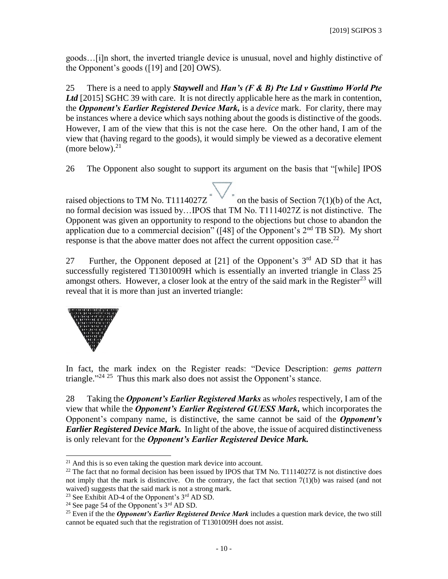goods…[i]n short, the inverted triangle device is unusual, novel and highly distinctive of the Opponent's goods ([19] and [20] OWS).

25 There is a need to apply *Staywell* and *Han's (F & B) Pte Ltd v Gusttimo World Pte*  Ltd [2015] SGHC 39 with care. It is not directly applicable here as the mark in contention, the *Opponent's Earlier Registered Device Mark,* is a *device* mark. For clarity, there may be instances where a device which says nothing about the goods is distinctive of the goods. However, I am of the view that this is not the case here. On the other hand, I am of the view that (having regard to the goods), it would simply be viewed as a decorative element (more below). $21$ 

26 The Opponent also sought to support its argument on the basis that "[while] IPOS

raised objections to TM No. T1114027Z<sup>"</sup> on the basis of Section 7(1)(b) of the Act, no formal decision was issued by…IPOS that TM No. T1114027Z is not distinctive. The Opponent was given an opportunity to respond to the objections but chose to abandon the application due to a commercial decision" ( $[48]$  of the Opponent's  $2<sup>nd</sup>$  TB SD). My short response is that the above matter does not affect the current opposition case.<sup>22</sup>

27 Further, the Opponent deposed at  $[21]$  of the Opponent's  $3<sup>rd</sup>$  AD SD that it has successfully registered T1301009H which is essentially an inverted triangle in Class 25 amongst others. However, a closer look at the entry of the said mark in the Register<sup>23</sup> will reveal that it is more than just an inverted triangle:



 $\overline{a}$ 

In fact, the mark index on the Register reads: "Device Description: *gems pattern* triangle."<sup>24 25</sup> Thus this mark also does not assist the Opponent's stance.

28 Taking the *Opponent's Earlier Registered Marks* as *wholes* respectively, I am of the view that while the *Opponent's Earlier Registered GUESS Mark,* which incorporates the Opponent's company name, is distinctive, the same cannot be said of the *Opponent's Earlier Registered Device Mark.* In light of the above, the issue of acquired distinctiveness is only relevant for the *Opponent's Earlier Registered Device Mark.*

 $21$  And this is so even taking the question mark device into account.

 $^{22}$  The fact that no formal decision has been issued by IPOS that TM No. T1114027Z is not distinctive does not imply that the mark is distinctive. On the contrary, the fact that section 7(1)(b) was raised (and not waived) suggests that the said mark is not a strong mark.

<sup>&</sup>lt;sup>23</sup> See Exhibit AD-4 of the Opponent's  $3<sup>rd</sup>$  AD SD.

<sup>&</sup>lt;sup>24</sup> See page 54 of the Opponent's  $3<sup>rd</sup>$  AD SD.

<sup>&</sup>lt;sup>25</sup> Even if the the *Opponent's Earlier Registered Device Mark* includes a question mark device, the two still cannot be equated such that the registration of T1301009H does not assist.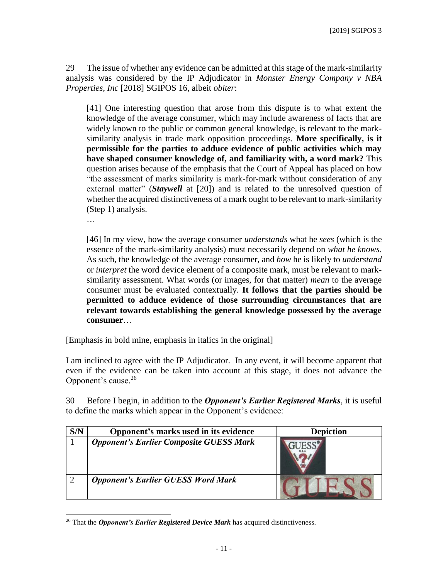29 The issue of whether any evidence can be admitted at this stage of the mark-similarity analysis was considered by the IP Adjudicator in *Monster Energy Company v NBA Properties, Inc* [2018] SGIPOS 16, albeit *obiter*:

[41] One interesting question that arose from this dispute is to what extent the knowledge of the average consumer, which may include awareness of facts that are widely known to the public or common general knowledge, is relevant to the marksimilarity analysis in trade mark opposition proceedings. **More specifically, is it permissible for the parties to adduce evidence of public activities which may have shaped consumer knowledge of, and familiarity with, a word mark?** This question arises because of the emphasis that the Court of Appeal has placed on how "the assessment of marks similarity is mark-for-mark without consideration of any external matter" (*Staywell* at [20]) and is related to the unresolved question of whether the acquired distinctiveness of a mark ought to be relevant to mark-similarity (Step 1) analysis.

…

[46] In my view, how the average consumer *understands* what he *sees* (which is the essence of the mark-similarity analysis) must necessarily depend on *what he knows*. As such, the knowledge of the average consumer, and *how* he is likely to *understand*  or *interpret* the word device element of a composite mark, must be relevant to marksimilarity assessment. What words (or images, for that matter) *mean* to the average consumer must be evaluated contextually. **It follows that the parties should be permitted to adduce evidence of those surrounding circumstances that are relevant towards establishing the general knowledge possessed by the average consumer**…

[Emphasis in bold mine, emphasis in italics in the original]

I am inclined to agree with the IP Adjudicator. In any event, it will become apparent that even if the evidence can be taken into account at this stage, it does not advance the Opponent's cause. 26

30 Before I begin, in addition to the *Opponent's Earlier Registered Marks*, it is useful to define the marks which appear in the Opponent's evidence:

| S/N | Opponent's marks used in its evidence          | <b>Depiction</b> |
|-----|------------------------------------------------|------------------|
|     | <b>Opponent's Earlier Composite GUESS Mark</b> |                  |
|     | <b>Opponent's Earlier GUESS Word Mark</b>      |                  |

 $\overline{a}$ <sup>26</sup> That the *Opponent's Earlier Registered Device Mark* has acquired distinctiveness.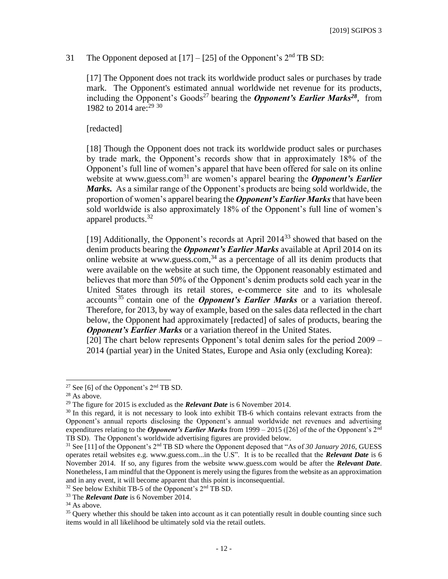## 31 The Opponent deposed at  $[17] - [25]$  of the Opponent's  $2<sup>nd</sup>$  TB SD:

[17] The Opponent does not track its worldwide product sales or purchases by trade mark. The Opponent's estimated annual worldwide net revenue for its products, including the Opponent's Goods<sup>27</sup> bearing the **Opponent's Earlier Marks**<sup>28</sup>, from 1982 to 2014 are:<sup>29 30</sup>

[redacted]

[18] Though the Opponent does not track its worldwide product sales or purchases by trade mark, the Opponent's records show that in approximately 18% of the Opponent's full line of women's apparel that have been offered for sale on its online website at www.guess.com<sup>31</sup> are women's apparel bearing the *Opponent's Earlier Marks.* As a similar range of the Opponent's products are being sold worldwide, the proportion of women's apparel bearing the *Opponent's Earlier Marks* that have been sold worldwide is also approximately 18% of the Opponent's full line of women's apparel products. 32

[19] Additionally, the Opponent's records at April 2014<sup>33</sup> showed that based on the denim products bearing the *Opponent's Earlier Marks* available at April 2014 on its online website at www.guess.com, $34$  as a percentage of all its denim products that were available on the website at such time, the Opponent reasonably estimated and believes that more than 50% of the Opponent's denim products sold each year in the United States through its retail stores, e-commerce site and to its wholesale accounts<sup>35</sup> contain one of the *Opponent's Earlier Marks* or a variation thereof. Therefore, for 2013, by way of example, based on the sales data reflected in the chart below, the Opponent had approximately [redacted] of sales of products, bearing the **Opponent's Earlier Marks** or a variation thereof in the United States.

[20] The chart below represents Opponent's total denim sales for the period 2009 – 2014 (partial year) in the United States, Europe and Asia only (excluding Korea):

<sup>&</sup>lt;sup>27</sup> See [6] of the Opponent's  $2<sup>nd</sup>$  TB SD.

 $28$  As above.

<sup>29</sup> The figure for 2015 is excluded as the *Relevant Date* is 6 November 2014.

<sup>&</sup>lt;sup>30</sup> In this regard, it is not necessary to look into exhibit TB-6 which contains relevant extracts from the Opponent's annual reports disclosing the Opponent's annual worldwide net revenues and advertising expenditures relating to the *Opponent's Earlier Marks* from 1999 – 2015 ([26] of the of the Opponent's 2nd TB SD). The Opponent's worldwide advertising figures are provided below.

<sup>31</sup> See [11] of the Opponent's 2nd TB SD where the Opponent deposed that "As of *30 January 2016*, GUESS operates retail websites e.g. www.guess.com...in the U.S". It is to be recalled that the *Relevant Date* is 6 November 2014. If so, any figures from the website www.guess.com would be after the *Relevant Date*. Nonetheless, I am mindful that the Opponent is merely using the figures from the website as an approximation and in any event, it will become apparent that this point is inconsequential.

 $32$  See below Exhibit TB-5 of the Opponent's  $2<sup>nd</sup>$  TB SD.

<sup>33</sup> The *Relevant Date* is 6 November 2014.

 $34$  As above.

<sup>&</sup>lt;sup>35</sup> Query whether this should be taken into account as it can potentially result in double counting since such items would in all likelihood be ultimately sold via the retail outlets.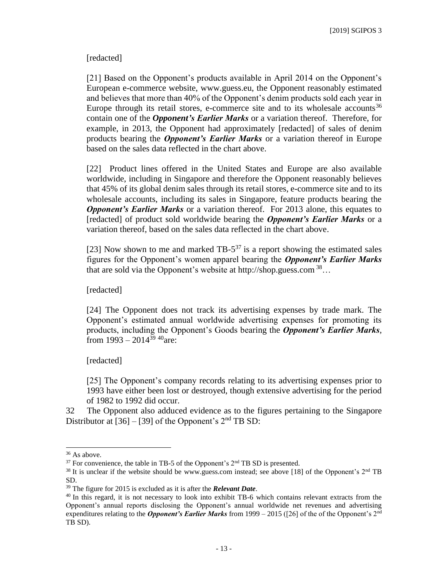#### [redacted]

[21] Based on the Opponent's products available in April 2014 on the Opponent's European e-commerce website, www.guess.eu, the Opponent reasonably estimated and believes that more than 40% of the Opponent's denim products sold each year in Europe through its retail stores, e-commerce site and to its wholesale accounts<sup>36</sup> contain one of the *Opponent's Earlier Marks* or a variation thereof. Therefore, for example, in 2013, the Opponent had approximately [redacted] of sales of denim products bearing the *Opponent's Earlier Marks* or a variation thereof in Europe based on the sales data reflected in the chart above.

[22] Product lines offered in the United States and Europe are also available worldwide, including in Singapore and therefore the Opponent reasonably believes that 45% of its global denim sales through its retail stores, e-commerce site and to its wholesale accounts, including its sales in Singapore, feature products bearing the *Opponent's Earlier Marks* or a variation thereof. For 2013 alone, this equates to [redacted] of product sold worldwide bearing the *Opponent's Earlier Marks* or a variation thereof, based on the sales data reflected in the chart above.

[23] Now shown to me and marked  $TB-5^{37}$  is a report showing the estimated sales figures for the Opponent's women apparel bearing the *Opponent's Earlier Marks* that are sold via the Opponent's website at http://shop.guess.com  $^{38}$ ...

[redacted]

[24] The Opponent does not track its advertising expenses by trade mark. The Opponent's estimated annual worldwide advertising expenses for promoting its products, including the Opponent's Goods bearing the *Opponent's Earlier Marks*, from  $1993 - 2014^{39}$  <sup>40</sup>are:

[redacted]

[25] The Opponent's company records relating to its advertising expenses prior to 1993 have either been lost or destroyed, though extensive advertising for the period of 1982 to 1992 did occur.

32 The Opponent also adduced evidence as to the figures pertaining to the Singapore Distributor at  $[36] - [39]$  of the Opponent's  $2<sup>nd</sup>$  TB SD:

<sup>&</sup>lt;sup>36</sup> As above.

 $37$  For convenience, the table in TB-5 of the Opponent's  $2<sup>nd</sup>$  TB SD is presented.

<sup>&</sup>lt;sup>38</sup> It is unclear if the website should be www.guess.com instead; see above [18] of the Opponent's  $2<sup>nd</sup> TB$ SD.

<sup>39</sup> The figure for 2015 is excluded as it is after the *Relevant Date*.

<sup>&</sup>lt;sup>40</sup> In this regard, it is not necessary to look into exhibit TB-6 which contains relevant extracts from the Opponent's annual reports disclosing the Opponent's annual worldwide net revenues and advertising expenditures relating to the *Opponent's Earlier Marks* from 1999 – 2015 ([26] of the of the Opponent's 2nd TB SD).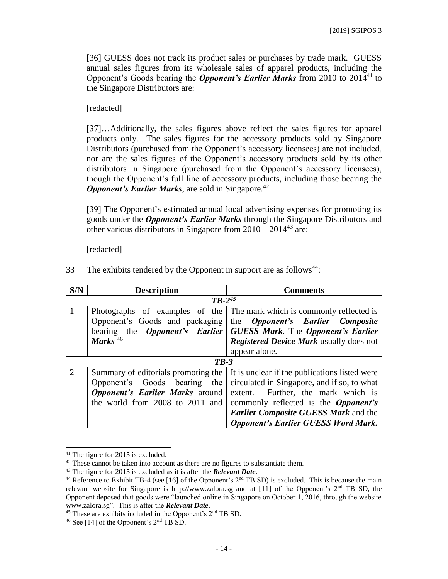[36] GUESS does not track its product sales or purchases by trade mark. GUESS annual sales figures from its wholesale sales of apparel products, including the Opponent's Goods bearing the *Opponent's Earlier Marks* from 2010 to 2014 <sup>41</sup> to the Singapore Distributors are:

[redacted]

[37]…Additionally, the sales figures above reflect the sales figures for apparel products only. The sales figures for the accessory products sold by Singapore Distributors (purchased from the Opponent's accessory licensees) are not included, nor are the sales figures of the Opponent's accessory products sold by its other distributors in Singapore (purchased from the Opponent's accessory licensees), though the Opponent's full line of accessory products, including those bearing the *Opponent's Earlier Marks*, are sold in Singapore.<sup>42</sup>

[39] The Opponent's estimated annual local advertising expenses for promoting its goods under the *Opponent's Earlier Marks* through the Singapore Distributors and other various distributors in Singapore from  $2010 - 2014^{43}$  are:

[redacted]

| S/N            | <b>Description</b>                     | <b>Comments</b>                                                     |
|----------------|----------------------------------------|---------------------------------------------------------------------|
|                | $TB-2^{45}$                            |                                                                     |
| 1              | Photographs of examples of the         | The mark which is commonly reflected is                             |
|                | Opponent's Goods and packaging         | the <i>Opponent's</i> Earlier Composite                             |
|                |                                        | bearing the Opponent's Earlier   GUESS Mark. The Opponent's Earlier |
|                | Marks $46$                             | <b>Registered Device Mark usually does not</b>                      |
|                |                                        | appear alone.                                                       |
|                | $TB-3$                                 |                                                                     |
| $\overline{2}$ | Summary of editorials promoting the    | It is unclear if the publications listed were                       |
|                | Opponent's Goods bearing<br>the        | circulated in Singapore, and if so, to what                         |
|                | <b>Opponent's Earlier Marks</b> around | extent. Further, the mark which is                                  |
|                | the world from 2008 to 2011 and        | commonly reflected is the <i>Opponent's</i>                         |
|                |                                        | Earlier Composite GUESS Mark and the                                |
|                |                                        | <b>Opponent's Earlier GUESS Word Mark.</b>                          |

33 The exhibits tendered by the Opponent in support are as follows<sup>44</sup>:

<sup>41</sup> The figure for 2015 is excluded.

<sup>&</sup>lt;sup>42</sup> These cannot be taken into account as there are no figures to substantiate them.

<sup>43</sup> The figure for 2015 is excluded as it is after the *Relevant Date*.

<sup>&</sup>lt;sup>44</sup> Reference to Exhibit TB-4 (see [16] of the Opponent's  $2<sup>nd</sup>$  TB SD) is excluded. This is because the main relevant website for Singapore is http://www.zalora.sg and at [11] of the Opponent's  $2<sup>nd</sup>$  TB SD, the Opponent deposed that goods were "launched online in Singapore on October 1, 2016, through the website www.zalora.sg". This is after the *Relevant Date*.

<sup>45</sup> These are exhibits included in the Opponent's 2nd TB SD.

 $46$  See [14] of the Opponent's  $2<sup>nd</sup>$  TB SD.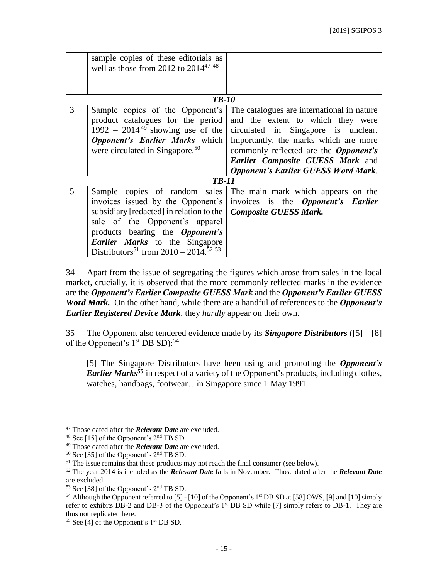|   | sample copies of these editorials as<br>well as those from 2012 to $2014^{47}$ <sup>48</sup>                                                                                                                                                                                                        |                                                                                                                                                                                                                                                                                                                                         |
|---|-----------------------------------------------------------------------------------------------------------------------------------------------------------------------------------------------------------------------------------------------------------------------------------------------------|-----------------------------------------------------------------------------------------------------------------------------------------------------------------------------------------------------------------------------------------------------------------------------------------------------------------------------------------|
|   | <b>TB-10</b>                                                                                                                                                                                                                                                                                        |                                                                                                                                                                                                                                                                                                                                         |
| 3 | Sample copies of the Opponent's<br>product catalogues for the period<br>1992 – 2014 <sup>49</sup> showing use of the<br>were circulated in Singapore. <sup>50</sup>                                                                                                                                 | The catalogues are international in nature<br>and the extent to which they were<br>circulated in Singapore is unclear.<br><b>Opponent's Earlier Marks</b> which Importantly, the marks which are more<br>commonly reflected are the <i>Opponent's</i><br>Earlier Composite GUESS Mark and<br><b>Opponent's Earlier GUESS Word Mark.</b> |
|   | <b>TB-11</b>                                                                                                                                                                                                                                                                                        |                                                                                                                                                                                                                                                                                                                                         |
| 5 | invoices issued by the Opponent's<br>subsidiary [redacted] in relation to the   <i>Composite GUESS Mark</i> .<br>sale of the Opponent's apparel<br>products bearing the <i>Opponent's</i><br><b>Earlier Marks</b> to the Singapore<br>Distributors <sup>51</sup> from 2010 – 2014. <sup>52 53</sup> | Sample copies of random sales The main mark which appears on the<br>invoices is the <b>Opponent's Earlier</b>                                                                                                                                                                                                                           |

34 Apart from the issue of segregating the figures which arose from sales in the local market, crucially, it is observed that the more commonly reflected marks in the evidence are the *Opponent's Earlier Composite GUESS Mark* and the *Opponent's Earlier GUESS Word Mark.* On the other hand, while there are a handful of references to the *Opponent's Earlier Registered Device Mark*, they *hardly* appear on their own.

35 The Opponent also tendered evidence made by its *Singapore Distributors* ([5] – [8] of the Opponent's 1<sup>st</sup> DB SD):<sup>54</sup>

[5] The Singapore Distributors have been using and promoting the *Opponent's Earlier Marks<sup>55</sup>* in respect of a variety of the Opponent's products, including clothes, watches, handbags, footwear…in Singapore since 1 May 1991.

l

<sup>47</sup> Those dated after the *Relevant Date* are excluded.

 $48$  See [15] of the Opponent's  $2<sup>nd</sup>$  TB SD.

<sup>49</sup> Those dated after the *Relevant Date* are excluded.

<sup>50</sup> See [35] of the Opponent's 2nd TB SD.

<sup>&</sup>lt;sup>51</sup> The issue remains that these products may not reach the final consumer (see below).

<sup>52</sup> The year 2014 is included as the *Relevant Date* falls in November. Those dated after the *Relevant Date* are excluded.

<sup>53</sup> See [38] of the Opponent's 2nd TB SD.

<sup>&</sup>lt;sup>54</sup> Although the Opponent referred to [5] - [10] of the Opponent's 1<sup>st</sup> DB SD at [58] OWS, [9] and [10] simply refer to exhibits DB-2 and DB-3 of the Opponent's 1<sup>st</sup> DB SD while [7] simply refers to DB-1. They are thus not replicated here.

 $55$  See [4] of the Opponent's 1<sup>st</sup> DB SD.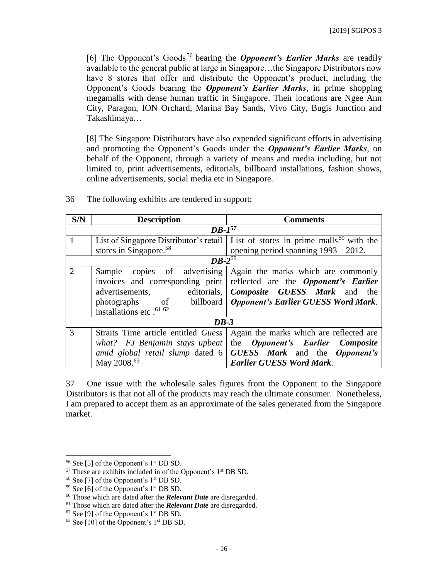[6] The Opponent's Goods<sup>56</sup> bearing the **Opponent's Earlier Marks** are readily available to the general public at large in Singapore…the Singapore Distributors now have 8 stores that offer and distribute the Opponent's product, including the Opponent's Goods bearing the *Opponent's Earlier Marks*, in prime shopping megamalls with dense human traffic in Singapore. Their locations are Ngee Ann City, Paragon, ION Orchard, Marina Bay Sands, Vivo City, Bugis Junction and Takashimaya…

[8] The Singapore Distributors have also expended significant efforts in advertising and promoting the Opponent's Goods under the *Opponent's Earlier Marks*, on behalf of the Opponent, through a variety of means and media including, but not limited to, print advertisements, editorials, billboard installations, fashion shows, online advertisements, social media etc in Singapore.

| S/N           | <b>Description</b>                   | <b>Comments</b>                                                                               |  |
|---------------|--------------------------------------|-----------------------------------------------------------------------------------------------|--|
|               | $DB-1^{57}$                          |                                                                                               |  |
| 1             |                                      | List of Singapore Distributor's retail   List of stores in prime malls <sup>59</sup> with the |  |
|               | stores in Singapore. <sup>58</sup>   | opening period spanning $1993 - 2012$ .                                                       |  |
|               | $DB-2^{\overline{60}}$               |                                                                                               |  |
| $\mathcal{D}$ | Sample copies of advertising         | Again the marks which are commonly                                                            |  |
|               |                                      | invoices and corresponding print reflected are the <i>Opponent's Earlier</i>                  |  |
|               | advertisements,                      | editorials,   Composite GUESS Mark and the                                                    |  |
|               |                                      | photographs of billboard   Opponent's Earlier GUESS Word Mark.                                |  |
|               | installations etc . <sup>61 62</sup> |                                                                                               |  |
|               | $DB-3$                               |                                                                                               |  |
| 3             | Straits Time article entitled Guess  | Again the marks which are reflected are                                                       |  |
|               | what? FJ Benjamin stays upbeat       | the <i>Opponent's</i> Earlier Composite                                                       |  |
|               |                                      | amid global retail slump dated $6 \mid GUESS$ Mark and the Opponent's                         |  |
|               | May 2008. <sup>63</sup>              | <b>Earlier GUESS Word Mark.</b>                                                               |  |

36 The following exhibits are tendered in support:

37 One issue with the wholesale sales figures from the Opponent to the Singapore Distributors is that not all of the products may reach the ultimate consumer. Nonetheless, I am prepared to accept them as an approximate of the sales generated from the Singapore market.

<sup>56</sup> See [5] of the Opponent's 1st DB SD.

 $57$  These are exhibits included in of the Opponent's  $1<sup>st</sup>$  DB SD.

 $58$  See [7] of the Opponent's  $1<sup>st</sup>$  DB SD.

<sup>&</sup>lt;sup>59</sup> See [6] of the Opponent's  $1<sup>st</sup>$  DB SD.

<sup>60</sup> Those which are dated after the *Relevant Date* are disregarded.

<sup>61</sup> Those which are dated after the *Relevant Date* are disregarded.

 $62$  See [9] of the Opponent's  $1<sup>st</sup>$  DB SD.

 $63$  See [10] of the Opponent's 1<sup>st</sup> DB SD.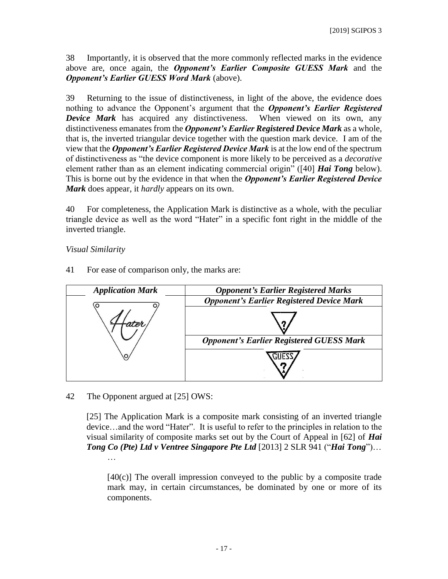38 Importantly, it is observed that the more commonly reflected marks in the evidence above are, once again, the *Opponent's Earlier Composite GUESS Mark* and the *Opponent's Earlier GUESS Word Mark* (above).

39 Returning to the issue of distinctiveness, in light of the above, the evidence does nothing to advance the Opponent's argument that the *Opponent's Earlier Registered Device Mark* has acquired any distinctiveness. When viewed on its own, any distinctiveness emanates from the *Opponent's Earlier Registered Device Mark* as a whole, that is, the inverted triangular device together with the question mark device. I am of the view that the *Opponent's Earlier Registered Device Mark* is at the low end of the spectrum of distinctiveness as "the device component is more likely to be perceived as a *decorative*  element rather than as an element indicating commercial origin" ([40] *Hai Tong* below). This is borne out by the evidence in that when the *Opponent's Earlier Registered Device Mark* does appear, it *hardly* appears on its own.

40 For completeness, the Application Mark is distinctive as a whole, with the peculiar triangle device as well as the word "Hater" in a specific font right in the middle of the inverted triangle.

### *Visual Similarity*

- *Application Mark Opponent's Earlier Registered Marks Opponent's Earlier Registered Device Mark Opponent's Earlier Registered GUESS Mark* CIIEZ
- 41 For ease of comparison only, the marks are:

42 The Opponent argued at [25] OWS:

[25] The Application Mark is a composite mark consisting of an inverted triangle device…and the word "Hater". It is useful to refer to the principles in relation to the visual similarity of composite marks set out by the Court of Appeal in [62] of *Hai Tong Co (Pte) Ltd v Ventree Singapore Pte Ltd* [\[2013\] 2 SLR 941](javascript:showSSPPopUp() ("*Hai Tong*")… …

[40(c)] The overall impression conveyed to the public by a composite trade mark may, in certain circumstances, be dominated by one or more of its components.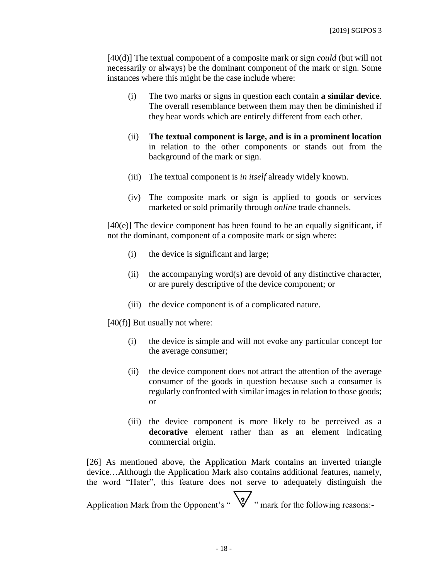[40(d)] The textual component of a composite mark or sign *could* (but will not necessarily or always) be the dominant component of the mark or sign. Some instances where this might be the case include where:

- (i) The two marks or signs in question each contain **a similar device**. The overall resemblance between them may then be diminished if they bear words which are entirely different from each other.
- (ii) **The textual component is large, and is in a prominent location** in relation to the other components or stands out from the background of the mark or sign.
- (iii) The textual component is *in itself* already widely known.
- (iv) The composite mark or sign is applied to goods or services marketed or sold primarily through *online* trade channels.

[40(e)] The device component has been found to be an equally significant, if not the dominant, component of a composite mark or sign where:

- (i) the device is significant and large;
- (ii) the accompanying word(s) are devoid of any distinctive character, or are purely descriptive of the device component; or
- (iii) the device component is of a complicated nature.

 $[40(f)]$  But usually not where:

- (i) the device is simple and will not evoke any particular concept for the average consumer;
- (ii) the device component does not attract the attention of the average consumer of the goods in question because such a consumer is regularly confronted with similar images in relation to those goods; or
- (iii) the device component is more likely to be perceived as a **decorative** element rather than as an element indicating commercial origin.

[26] As mentioned above, the Application Mark contains an inverted triangle device…Although the Application Mark also contains additional features, namely, the word "Hater", this feature does not serve to adequately distinguish the

Application Mark from the Opponent's "  $\sqrt{\gamma'}$  " mark for the following reasons:-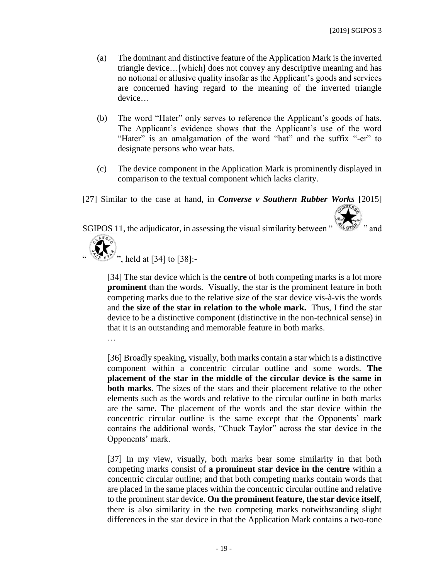- (a) The dominant and distinctive feature of the Application Mark is the inverted triangle device…[which] does not convey any descriptive meaning and has no notional or allusive quality insofar as the Applicant's goods and services are concerned having regard to the meaning of the inverted triangle device…
- (b) The word "Hater" only serves to reference the Applicant's goods of hats. The Applicant's evidence shows that the Applicant's use of the word "Hater" is an amalgamation of the word "hat" and the suffix "-er" to designate persons who wear hats.
- (c) The device component in the Application Mark is prominently displayed in comparison to the textual component which lacks clarity.

[27] Similar to the case at hand, in *Converse v Southern Rubber Works* [2015]

SGIPOS 11, the adjudicator, in assessing the visual similarity between "



[34] The star device which is the **centre** of both competing marks is a lot more **prominent** than the words. Visually, the star is the prominent feature in both competing marks due to the relative size of the star device vis-à-vis the words and **the size of the star in relation to the whole mark.** Thus, I find the star device to be a distinctive component (distinctive in the non-technical sense) in that it is an outstanding and memorable feature in both marks.

…

[36] Broadly speaking, visually, both marks contain a star which is a distinctive component within a concentric circular outline and some words. **The placement of the star in the middle of the circular device is the same in both marks**. The sizes of the stars and their placement relative to the other elements such as the words and relative to the circular outline in both marks are the same. The placement of the words and the star device within the concentric circular outline is the same except that the Opponents' mark contains the additional words, "Chuck Taylor" across the star device in the Opponents' mark.

[37] In my view, visually, both marks bear some similarity in that both competing marks consist of **a prominent star device in the centre** within a concentric circular outline; and that both competing marks contain words that are placed in the same places within the concentric circular outline and relative to the prominent star device. **On the prominent feature, the star device itself**, there is also similarity in the two competing marks notwithstanding slight differences in the star device in that the Application Mark contains a two-tone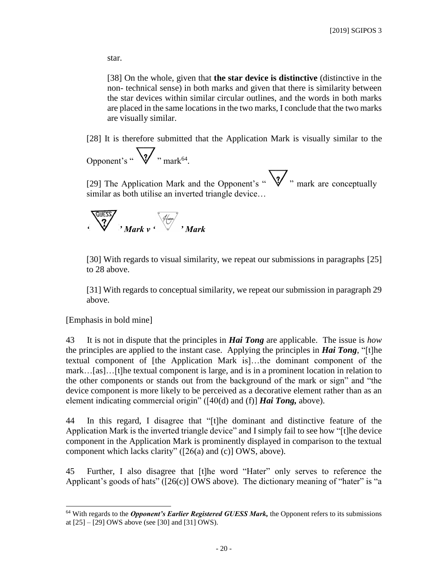star.

[38] On the whole, given that **the star device is distinctive** (distinctive in the non- technical sense) in both marks and given that there is similarity between the star devices within similar circular outlines, and the words in both marks are placed in the same locations in the two marks, I conclude that the two marks are visually similar.

[28] It is therefore submitted that the Application Mark is visually similar to the

$$
\text{Opponent's ``\sqrt{\smash[b]{\boldsymbol{\mathcal{V}}}}\; \cdot \; \text{mark}^{\text{64}}.
$$

[29] The Application Mark and the Opponent's "  $\sqrt{\gamma}$ " mark are conceptually similar as both utilise an inverted triangle device…



[30] With regards to visual similarity, we repeat our submissions in paragraphs [25] to 28 above.

[31] With regards to conceptual similarity, we repeat our submission in paragraph 29 above.

[Emphasis in bold mine]

 $\overline{a}$ 

43 It is not in dispute that the principles in *Hai Tong* are applicable. The issue is *how* the principles are applied to the instant case. Applying the principles in *Hai Tong*, "[t]he textual component of [the Application Mark is]…the dominant component of the mark…[as]…[t]he textual component is large, and is in a prominent location in relation to the other components or stands out from the background of the mark or sign" and "the device component is more likely to be perceived as a decorative element rather than as an element indicating commercial origin" ([40(d) and (f)] *Hai Tong,* above).

44 In this regard, I disagree that "[t]he dominant and distinctive feature of the Application Mark is the inverted triangle device" and I simply fail to see how "[t]he device component in the Application Mark is prominently displayed in comparison to the textual component which lacks clarity" ([26(a) and (c)] OWS, above).

45 Further, I also disagree that [t]he word "Hater" only serves to reference the Applicant's goods of hats" ( $[26(c)]$  OWS above). The dictionary meaning of "hater" is "a

<sup>&</sup>lt;sup>64</sup> With regards to the *Opponent's Earlier Registered GUESS Mark*, the Opponent refers to its submissions at  $[25] - [29]$  OWS above (see [30] and [31] OWS).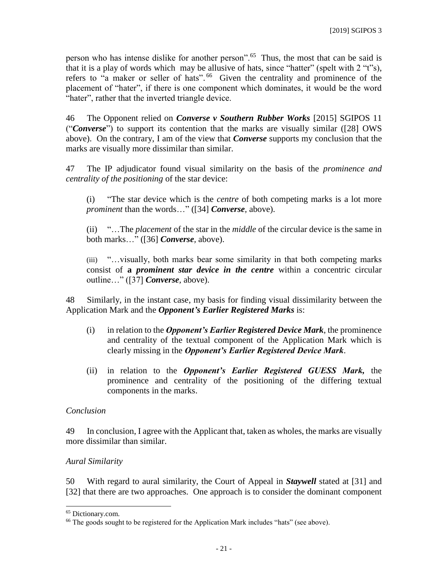person who has intense dislike for another person".<sup>65</sup> Thus, the most that can be said is that it is a play of words which may be allusive of hats, since "hatter" (spelt with 2 "t"s), refers to "a maker or seller of hats".<sup>66</sup> Given the centrality and prominence of the placement of "hater", if there is one component which dominates, it would be the word "hater", rather that the inverted triangle device.

46 The Opponent relied on *Converse v Southern Rubber Works* [2015] SGIPOS 11 ("*Converse*") to support its contention that the marks are visually similar ([28] OWS above). On the contrary, I am of the view that *Converse* supports my conclusion that the marks are visually more dissimilar than similar.

47 The IP adjudicator found visual similarity on the basis of the *prominence and centrality of the positioning* of the star device:

(i) "The star device which is the *centre* of both competing marks is a lot more *prominent* than the words…" ([34] *Converse,* above).

(ii) "…The *placement* of the star in the *middle* of the circular device is the same in both marks…" ([36] *Converse,* above).

(iii) "…visually, both marks bear some similarity in that both competing marks consist of **a** *prominent star device in the centre* within a concentric circular outline…" ([37] *Converse,* above).

48 Similarly, in the instant case, my basis for finding visual dissimilarity between the Application Mark and the *Opponent's Earlier Registered Marks* is:

- (i) in relation to the *Opponent's Earlier Registered Device Mark*, the prominence and centrality of the textual component of the Application Mark which is clearly missing in the *Opponent's Earlier Registered Device Mark*.
- (ii) in relation to the *Opponent's Earlier Registered GUESS Mark,* the prominence and centrality of the positioning of the differing textual components in the marks.

### *Conclusion*

49 In conclusion, I agree with the Applicant that, taken as wholes, the marks are visually more dissimilar than similar.

### *Aural Similarity*

50 With regard to aural similarity, the Court of Appeal in *Staywell* stated at [31] and [32] that there are two approaches. One approach is to consider the dominant component

<sup>65</sup> Dictionary.com.

<sup>&</sup>lt;sup>66</sup> The goods sought to be registered for the Application Mark includes "hats" (see above).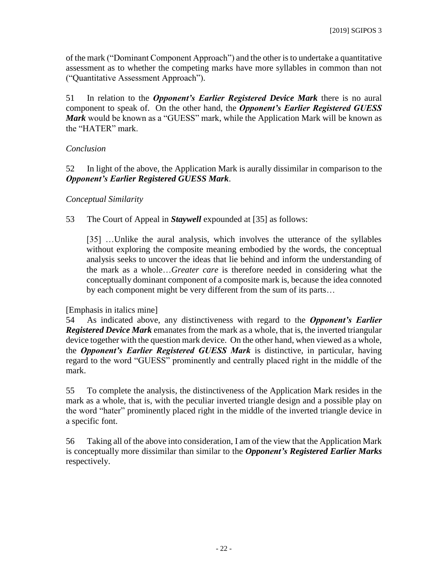of the mark ("Dominant Component Approach") and the other is to undertake a quantitative assessment as to whether the competing marks have more syllables in common than not ("Quantitative Assessment Approach").

51 In relation to the *Opponent's Earlier Registered Device Mark* there is no aural component to speak of. On the other hand, the *Opponent's Earlier Registered GUESS Mark* would be known as a "GUESS" mark, while the Application Mark will be known as the "HATER" mark.

### *Conclusion*

52 In light of the above, the Application Mark is aurally dissimilar in comparison to the *Opponent's Earlier Registered GUESS Mark*.

#### *Conceptual Similarity*

53 The Court of Appeal in *Staywell* expounded at [35] as follows:

[35] ...Unlike the aural analysis, which involves the utterance of the syllables without exploring the composite meaning embodied by the words, the conceptual analysis seeks to uncover the ideas that lie behind and inform the understanding of the mark as a whole…*Greater care* is therefore needed in considering what the conceptually dominant component of a composite mark is, because the idea connoted by each component might be very different from the sum of its parts…

#### [Emphasis in italics mine]

54 As indicated above, any distinctiveness with regard to the *Opponent's Earlier Registered Device Mark* emanates from the mark as a whole, that is, the inverted triangular device together with the question mark device. On the other hand, when viewed as a whole, the *Opponent's Earlier Registered GUESS Mark* is distinctive, in particular, having regard to the word "GUESS" prominently and centrally placed right in the middle of the mark.

55 To complete the analysis, the distinctiveness of the Application Mark resides in the mark as a whole, that is, with the peculiar inverted triangle design and a possible play on the word "hater" prominently placed right in the middle of the inverted triangle device in a specific font.

56 Taking all of the above into consideration, I am of the view that the Application Mark is conceptually more dissimilar than similar to the *Opponent's Registered Earlier Marks* respectively.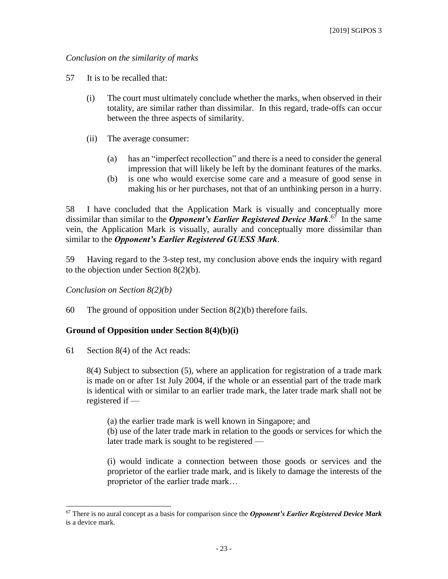### *Conclusion on the similarity of marks*

- 57 It is to be recalled that:
	- (i) The court must ultimately conclude whether the marks, when observed in their totality, are similar rather than dissimilar. In this regard, trade-offs can occur between the three aspects of similarity.
	- (ii) The average consumer:
		- (a) has an "imperfect recollection" and there is a need to consider the general impression that will likely be left by the dominant features of the marks.
		- (b) is one who would exercise some care and a measure of good sense in making his or her purchases, not that of an unthinking person in a hurry.

58 I have concluded that the Application Mark is visually and conceptually more dissimilar than similar to the *Opponent's Earlier Registered Device Mark*. 67 In the same vein, the Application Mark is visually, aurally and conceptually more dissimilar than similar to the *Opponent's Earlier Registered GUESS Mark*.

59 Having regard to the 3-step test, my conclusion above ends the inquiry with regard to the objection under Section 8(2)(b).

*Conclusion on Section 8(2)(b)*

60 The ground of opposition under Section 8(2)(b) therefore fails.

### **Ground of Opposition under Section 8(4)(b)(i)**

61 Section 8(4) of the Act reads:

 $\overline{a}$ 

8(4) Subject to subsection (5), where an application for registration of a trade mark is made on or after 1st July 2004, if the whole or an essential part of the trade mark is identical with or similar to an earlier trade mark, the later trade mark shall not be registered if —

(a) the earlier trade mark is well known in Singapore; and

(b) use of the later trade mark in relation to the goods or services for which the later trade mark is sought to be registered —

(i) would indicate a connection between those goods or services and the proprietor of the earlier trade mark, and is likely to damage the interests of the proprietor of the earlier trade mark…

<sup>67</sup> There is no aural concept as a basis for comparison since the *Opponent's Earlier Registered Device Mark* is a device mark.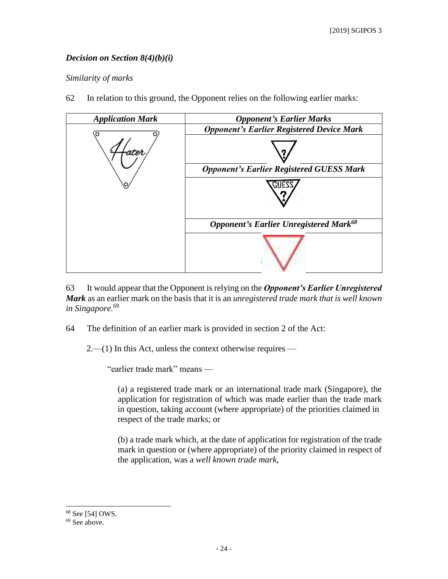### *Decision on Section 8(4)(b)(i)*

#### *Similarity of marks*

62 In relation to this ground, the Opponent relies on the following earlier marks:



63 It would appear that the Opponent is relying on the *Opponent's Earlier Unregistered Mark* as an earlier mark on the basis that it is an *unregistered trade mark that is well known in Singapore.* 69

64 The definition of an earlier mark is provided in section 2 of the Act:

 $2$ —(1) In this Act, unless the context otherwise requires —

"earlier trade mark" means —

(a) a registered trade mark or an international trade mark (Singapore), the application for registration of which was made earlier than the trade mark in question, taking account (where appropriate) of the priorities claimed in respect of the trade marks; or

(b) a trade mark which, at the date of application for registration of the trade mark in question or (where appropriate) of the priority claimed in respect of the application, was a *well known trade mark*,

<sup>68</sup> See [54] OWS.

<sup>&</sup>lt;sup>69</sup> See above.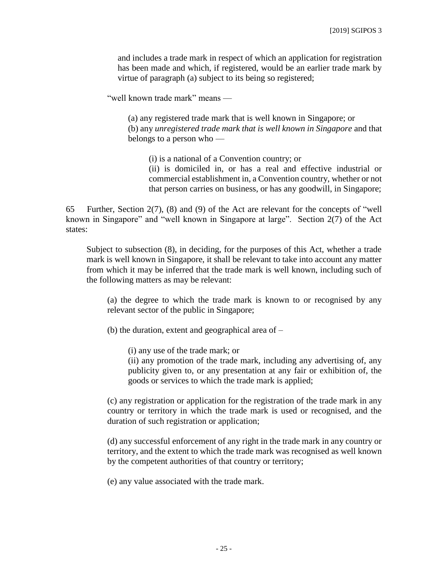and includes a trade mark in respect of which an application for registration has been made and which, if registered, would be an earlier trade mark by virtue of paragraph (a) subject to its being so registered;

"well known trade mark" means —

(a) any registered trade mark that is well known in Singapore; or (b) any *unregistered trade mark that is well known in Singapore* and that belongs to a person who —

(i) is a national of a Convention country; or (ii) is domiciled in, or has a real and effective industrial or commercial establishment in, a Convention country, whether or not that person carries on business, or has any goodwill, in Singapore;

65 Further, Section  $2(7)$ , (8) and (9) of the Act are relevant for the concepts of "well known in Singapore" and "well known in Singapore at large". Section 2(7) of the Act states:

Subject to subsection (8), in deciding, for the purposes of this Act, whether a trade mark is well known in Singapore, it shall be relevant to take into account any matter from which it may be inferred that the trade mark is well known, including such of the following matters as may be relevant:

(a) the degree to which the trade mark is known to or recognised by any relevant sector of the public in Singapore;

(b) the duration, extent and geographical area of –

(i) any use of the trade mark; or

(ii) any promotion of the trade mark, including any advertising of, any publicity given to, or any presentation at any fair or exhibition of, the goods or services to which the trade mark is applied;

(c) any registration or application for the registration of the trade mark in any country or territory in which the trade mark is used or recognised, and the duration of such registration or application;

(d) any successful enforcement of any right in the trade mark in any country or territory, and the extent to which the trade mark was recognised as well known by the competent authorities of that country or territory;

(e) any value associated with the trade mark.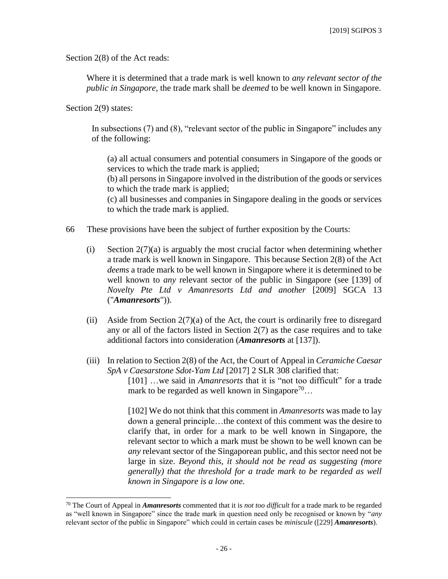Section 2(8) of the Act reads:

Where it is determined that a trade mark is well known to *any relevant sector of the public in Singapore*, the trade mark shall be *deemed* to be well known in Singapore.

Section 2(9) states:

 $\overline{a}$ 

In subsections (7) and (8), "relevant sector of the public in Singapore" includes any of the following:

(a) all actual consumers and potential consumers in Singapore of the goods or services to which the trade mark is applied;

(b) all persons in Singapore involved in the distribution of the goods or services to which the trade mark is applied;

(c) all businesses and companies in Singapore dealing in the goods or services to which the trade mark is applied.

- 66 These provisions have been the subject of further exposition by the Courts:
	- (i) Section  $2(7)(a)$  is arguably the most crucial factor when determining whether a trade mark is well known in Singapore. This because Section 2(8) of the Act *deems* a trade mark to be well known in Singapore where it is determined to be well known to *any* relevant sector of the public in Singapore (see [139] of *Novelty Pte Ltd v Amanresorts Ltd and another* [2009] SGCA 13 ("*Amanresorts*")).
	- (ii) Aside from Section  $2(7)(a)$  of the Act, the court is ordinarily free to disregard any or all of the factors listed in Section  $2(7)$  as the case requires and to take additional factors into consideration (*Amanresorts* at [137]).
	- (iii) In relation to Section 2(8) of the Act, the Court of Appeal in *Ceramiche Caesar SpA v Caesarstone Sdot-Yam Ltd* [2017] 2 SLR 308 clarified that:

[101] …we said in *Amanresorts* that it is "not too difficult" for a trade mark to be regarded as well known in Singapore<sup>70</sup>...

[102] We do not think that this comment in *Amanresorts* was made to lay down a general principle…the context of this comment was the desire to clarify that, in order for a mark to be well known in Singapore, the relevant sector to which a mark must be shown to be well known can be *any* relevant sector of the Singaporean public, and this sector need not be large in size. *Beyond this, it should not be read as suggesting (more generally) that the threshold for a trade mark to be regarded as well known in Singapore is a low one.*

<sup>70</sup> The Court of Appeal in *Amanresorts* commented that it is *not too difficult* for a trade mark to be regarded as "well known in Singapore" since the trade mark in question need only be recognised or known by "*any* relevant sector of the public in Singapore" which could in certain cases be *miniscule* ([229] *Amanresorts*).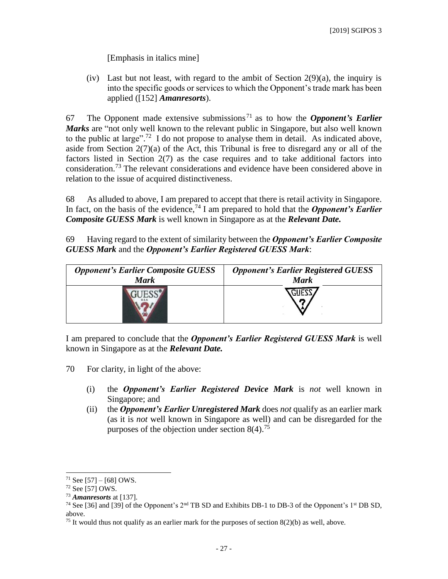[Emphasis in italics mine]

(iv) Last but not least, with regard to the ambit of Section  $2(9)(a)$ , the inquiry is into the specific goods or services to which the Opponent's trade mark has been applied ([152] *Amanresorts*).

67 The Opponent made extensive submissions <sup>71</sup> as to how the *Opponent's Earlier Marks* are "not only well known to the relevant public in Singapore, but also well known to the public at large".<sup>72</sup> I do not propose to analyse them in detail. As indicated above, aside from Section  $2(7)(a)$  of the Act, this Tribunal is free to disregard any or all of the factors listed in Section 2(7) as the case requires and to take additional factors into consideration.<sup>73</sup> The relevant considerations and evidence have been considered above in relation to the issue of acquired distinctiveness.

68 As alluded to above, I am prepared to accept that there is retail activity in Singapore. In fact, on the basis of the evidence,<sup>74</sup> I am prepared to hold that the *Opponent's Earlier Composite GUESS Mark* is well known in Singapore as at the *Relevant Date.*

69 Having regard to the extent of similarity between the *Opponent's Earlier Composite GUESS Mark* and the *Opponent's Earlier Registered GUESS Mark*:

| <b>Opponent's Earlier Composite GUESS</b> | <b>Opponent's Earlier Registered GUESS</b> |
|-------------------------------------------|--------------------------------------------|
| <b>Mark</b>                               | <b>Mark</b>                                |
|                                           |                                            |

I am prepared to conclude that the *Opponent's Earlier Registered GUESS Mark* is well known in Singapore as at the *Relevant Date.*

- 70 For clarity, in light of the above:
	- (i) the *Opponent's Earlier Registered Device Mark* is *not* well known in Singapore; and
	- (ii) the *Opponent's Earlier Unregistered Mark* does *not* qualify as an earlier mark (as it is *not* well known in Singapore as well) and can be disregarded for the purposes of the objection under section  $8(4)$ .<sup>75</sup>

 $71$  See [57] – [68] OWS.

 $72$  See [57] OWS.

<sup>73</sup> *Amanresorts* at [137].

<sup>&</sup>lt;sup>74</sup> See [36] and [39] of the Opponent's 2<sup>nd</sup> TB SD and Exhibits DB-1 to DB-3 of the Opponent's 1<sup>st</sup> DB SD, above.

<sup>&</sup>lt;sup>75</sup> It would thus not qualify as an earlier mark for the purposes of section  $8(2)(b)$  as well, above.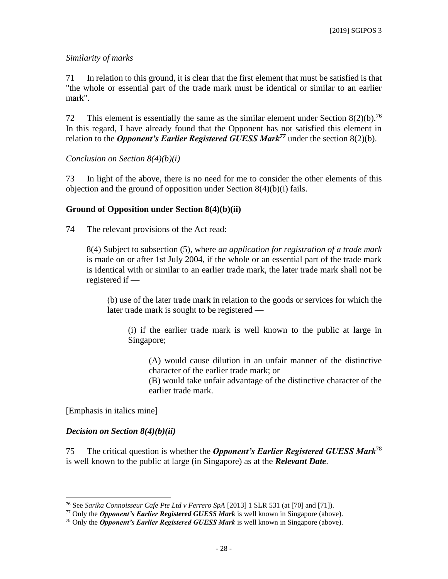### *Similarity of marks*

71 In relation to this ground, it is clear that the first element that must be satisfied is that "the whole or essential part of the trade mark must be identical or similar to an earlier mark".

72 This element is essentially the same as the similar element under Section  $8(2)(b)$ .<sup>76</sup> In this regard, I have already found that the Opponent has not satisfied this element in relation to the *Opponent's Earlier Registered GUESS Mark<sup>77</sup>* under the section 8(2)(b).

*Conclusion on Section 8(4)(b)(i)*

73 In light of the above, there is no need for me to consider the other elements of this objection and the ground of opposition under Section 8(4)(b)(i) fails.

#### **Ground of Opposition under Section 8(4)(b)(ii)**

74 The relevant provisions of the Act read:

8(4) Subject to subsection (5), where *an application for registration of a trade mark*  is made on or after 1st July 2004, if the whole or an essential part of the trade mark is identical with or similar to an earlier trade mark, the later trade mark shall not be registered if —

(b) use of the later trade mark in relation to the goods or services for which the later trade mark is sought to be registered —

(i) if the earlier trade mark is well known to the public at large in Singapore;

(A) would cause dilution in an unfair manner of the distinctive character of the earlier trade mark; or

(B) would take unfair advantage of the distinctive character of the earlier trade mark.

[Emphasis in italics mine]

 $\overline{a}$ 

#### *Decision on Section 8(4)(b)(ii)*

75 The critical question is whether the *Opponent's Earlier Registered GUESS Mark*<sup>78</sup> is well known to the public at large (in Singapore) as at the *Relevant Date*.

<sup>76</sup> See *Sarika Connoisseur Cafe Pte Ltd v Ferrero SpA* [2013] 1 SLR 531 (at [70] and [71]).

<sup>77</sup> Only the *Opponent's Earlier Registered GUESS Mark* is well known in Singapore (above).

<sup>78</sup> Only the *Opponent's Earlier Registered GUESS Mark* is well known in Singapore (above).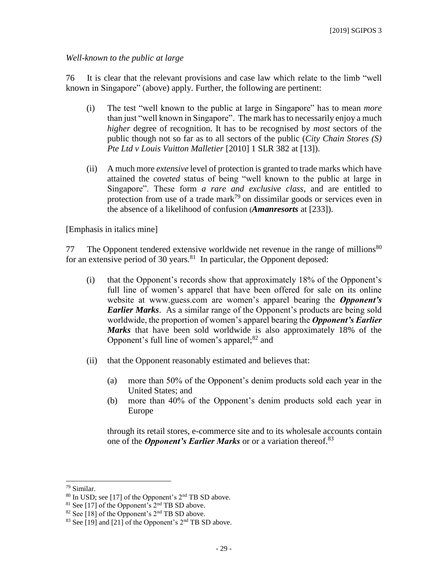#### *Well-known to the public at large*

76 It is clear that the relevant provisions and case law which relate to the limb "well known in Singapore" (above) apply. Further, the following are pertinent:

- (i) The test "well known to the public at large in Singapore" has to mean *more* than just "well known in Singapore". The mark hasto necessarily enjoy a much *higher* degree of recognition. It has to be recognised by *most* sectors of the public though not so far as to all sectors of the public (*City Chain Stores (S) Pte Ltd v Louis Vuitton Malletier* [2010] 1 SLR 382 at [13]).
- (ii) A much more *extensive* level of protection is granted to trade marks which have attained the *coveted* status of being "well known to the public at large in Singapore". These form *a rare and exclusive class*, and are entitled to protection from use of a trade mark<sup>79</sup> on dissimilar goods or services even in the absence of a likelihood of confusion (*Amanresorts* at [233]).

[Emphasis in italics mine]

77 The Opponent tendered extensive worldwide net revenue in the range of millions<sup>80</sup> for an extensive period of 30 years.<sup>81</sup> In particular, the Opponent deposed:

- (i) that the Opponent's records show that approximately 18% of the Opponent's full line of women's apparel that have been offered for sale on its online website at www.guess.com are women's apparel bearing the *Opponent's Earlier Marks*. As a similar range of the Opponent's products are being sold worldwide, the proportion of women's apparel bearing the *Opponent's Earlier Marks* that have been sold worldwide is also approximately 18% of the Opponent's full line of women's apparel; $82$  and
- (ii) that the Opponent reasonably estimated and believes that:
	- (a) more than 50% of the Opponent's denim products sold each year in the United States; and
	- (b) more than 40% of the Opponent's denim products sold each year in Europe

through its retail stores, e-commerce site and to its wholesale accounts contain one of the *Opponent's Earlier Marks* or or a variation thereof. 83

l

<sup>79</sup> Similar.

<sup>80</sup> In USD; see [17] of the Opponent's 2nd TB SD above.

 $81$  See [17] of the Opponent's  $2<sup>nd</sup>$  TB SD above.

 $82$  See [18] of the Opponent's  $2<sup>nd</sup>$  TB SD above.

 $83$  See [19] and [21] of the Opponent's  $2<sup>nd</sup>$  TB SD above.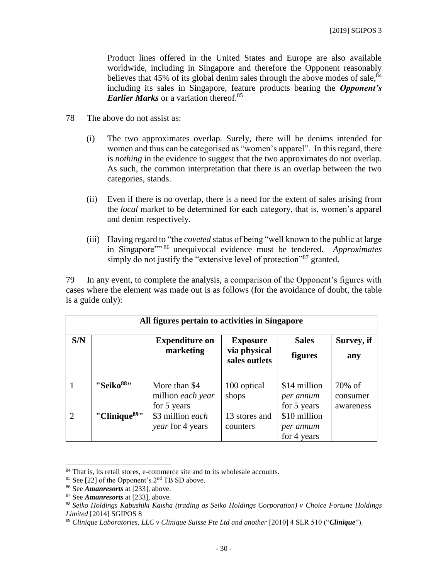Product lines offered in the United States and Europe are also available worldwide, including in Singapore and therefore the Opponent reasonably believes that 45% of its global denim sales through the above modes of sale,  $84$ including its sales in Singapore, feature products bearing the *Opponent's Earlier Marks* or a variation thereof. 85

- 78 The above do not assist as:
	- (i) The two approximates overlap. Surely, there will be denims intended for women and thus can be categorised as "women's apparel". In this regard, there is *nothing* in the evidence to suggest that the two approximates do not overlap. As such, the common interpretation that there is an overlap between the two categories, stands.
	- (ii) Even if there is no overlap, there is a need for the extent of sales arising from the *local* market to be determined for each category, that is, women's apparel and denim respectively.
	- (iii) Having regard to "the *coveted* status of being "well known to the public at large in Singapore"" <sup>86</sup> unequivocal evidence must be tendered. *Approximates* simply do not justify the "extensive level of protection"<sup>87</sup> granted.

79 In any event, to complete the analysis, a comparison of the Opponent's figures with cases where the element was made out is as follows (for the avoidance of doubt, the table is a guide only):

| All figures pertain to activities in Singapore |                           |                                                   |                                                  |                                          |                                 |  |  |
|------------------------------------------------|---------------------------|---------------------------------------------------|--------------------------------------------------|------------------------------------------|---------------------------------|--|--|
| S/N                                            |                           | <b>Expenditure on</b><br>marketing                | <b>Exposure</b><br>via physical<br>sales outlets | <b>Sales</b><br><b>figures</b>           | Survey, if<br>any               |  |  |
|                                                | "Seiko <sup>88</sup> "    | More than \$4<br>million each year<br>for 5 years | 100 optical<br>shops                             | \$14 million<br>per annum<br>for 5 years | 70% of<br>consumer<br>awareness |  |  |
| $\overline{2}$                                 | "Clinique <sup>89</sup> " | \$3 million each<br>year for 4 years              | 13 stores and<br>counters                        | \$10 million<br>per annum<br>for 4 years |                                 |  |  |

<sup>84</sup> That is, its retail stores, e-commerce site and to its wholesale accounts.

 $85$  See [22] of the Opponent's  $2<sup>nd</sup>$  TB SD above.

<sup>86</sup> See *Amanresorts* at [233], above.

<sup>87</sup> See *Amanresorts* at [233], above.

<sup>88</sup> *Seiko Holdings Kabushiki Kaisha (trading as Seiko Holdings Corporation) v Choice Fortune Holdings Limited* [2014] SGIPOS 8

<sup>89</sup> *Clinique Laboratories, LLC v Clinique Suisse Pte Ltd and another* [2010] 4 SLR 510 ("*Clinique*").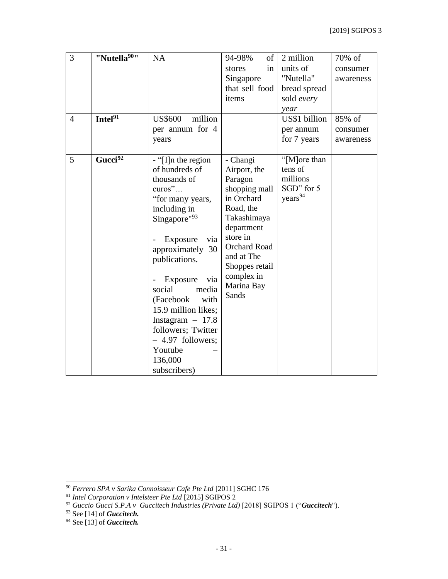| $\overline{3}$ | "Nutella <sup>90</sup> " | NA                        | 94-98%<br>of             | 2 million           | 70% of    |
|----------------|--------------------------|---------------------------|--------------------------|---------------------|-----------|
|                |                          |                           | stores<br>in             | units of            | consumer  |
|                |                          |                           | Singapore                | "Nutella"           | awareness |
|                |                          |                           | that sell food           | bread spread        |           |
|                |                          |                           | items                    | sold every          |           |
|                |                          |                           |                          | year                |           |
| $\overline{4}$ | Intel $\overline{^{91}}$ | <b>US\$600</b><br>million |                          | US\$1 billion       | 85% of    |
|                |                          | per annum for 4           |                          | per annum           | consumer  |
|                |                          | years                     |                          | for 7 years         | awareness |
|                |                          |                           |                          |                     |           |
| 5              | Gucci <sup>92</sup>      | $-$ "[I]n the region      | - Changi                 | "[M]ore than        |           |
|                |                          | of hundreds of            | Airport, the             | tens of             |           |
|                |                          | thousands of              | Paragon                  | millions            |           |
|                |                          | $euros$ "                 | shopping mall            | SGD" for 5          |           |
|                |                          | "for many years,          | in Orchard               | years <sup>94</sup> |           |
|                |                          | including in              | Road, the                |                     |           |
|                |                          | Singapore"93              | Takashimaya              |                     |           |
|                |                          |                           | department               |                     |           |
|                |                          | Exposure<br>via           | store in                 |                     |           |
|                |                          | approximately 30          | <b>Orchard Road</b>      |                     |           |
|                |                          | publications.             | and at The               |                     |           |
|                |                          |                           | Shoppes retail           |                     |           |
|                |                          | Exposure<br>via           | complex in<br>Marina Bay |                     |           |
|                |                          | social<br>media           | Sands                    |                     |           |
|                |                          | (Facebook<br>with         |                          |                     |           |
|                |                          | 15.9 million likes;       |                          |                     |           |
|                |                          | Instagram $-17.8$         |                          |                     |           |
|                |                          | followers; Twitter        |                          |                     |           |
|                |                          | $-4.97$ followers;        |                          |                     |           |
|                |                          | Youtube                   |                          |                     |           |
|                |                          | 136,000                   |                          |                     |           |
|                |                          | subscribers)              |                          |                     |           |

l

<sup>90</sup> *Ferrero SPA v Sarika Connoisseur Cafe Pte Ltd* [\[2011\] SGHC 176](javascript:void())

<sup>91</sup> *Intel Corporation v Intelsteer Pte Ltd* [2015] SGIPOS 2

<sup>92</sup> *Guccio Gucci S.P.A v Guccitech Industries (Private Ltd)* [2018] SGIPOS 1 ("*Guccitech*").

<sup>93</sup> See [14] of *Guccitech.*

<sup>94</sup> See [13] of *Guccitech.*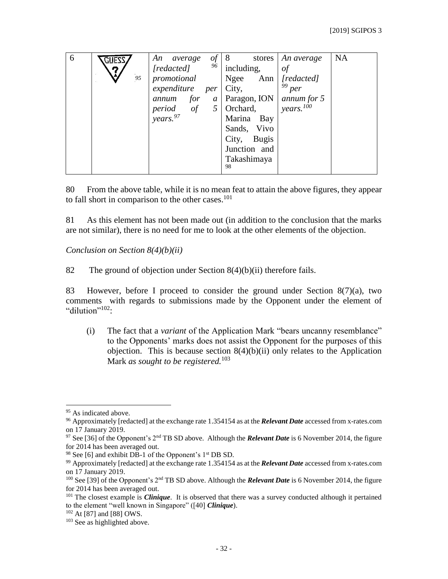| 6 |    | of<br>An<br>average<br>96              |                       | stores   An average | <b>NA</b> |
|---|----|----------------------------------------|-----------------------|---------------------|-----------|
|   | ŋ  | [redacted]                             | including,            | of                  |           |
|   | 95 | promotional                            | Ngee<br>Ann           | [redacted]          |           |
|   |    | expenditure<br>per                     | City,                 | $99$ per            |           |
|   |    | annum for<br>$\mathfrak{a}$            | Paragon, ION          | annum for 5         |           |
|   |    | period of<br>years. <sup>97</sup><br>5 | Orchard,              | years. $100$        |           |
|   |    |                                        | Marina<br>Bay         |                     |           |
|   |    |                                        | Sands, Vivo           |                     |           |
|   |    |                                        | City,<br><b>Bugis</b> |                     |           |
|   |    |                                        | Junction and          |                     |           |
|   |    |                                        | Takashimaya           |                     |           |
|   |    |                                        | 98                    |                     |           |

80 From the above table, while it is no mean feat to attain the above figures, they appear to fall short in comparison to the other cases.<sup>101</sup>

81 As this element has not been made out (in addition to the conclusion that the marks are not similar), there is no need for me to look at the other elements of the objection.

*Conclusion on Section 8(4)(b)(ii)*

82 The ground of objection under Section 8(4)(b)(ii) therefore fails.

83 However, before I proceed to consider the ground under Section 8(7)(a), two comments with regards to submissions made by the Opponent under the element of "dilution"<sup>102</sup>:

(i) The fact that a *variant* of the Application Mark "bears uncanny resemblance" to the Opponents' marks does not assist the Opponent for the purposes of this objection. This is because section  $8(4)(b)(ii)$  only relates to the Application Mark *as sought to be registered.*<sup>103</sup>

<sup>&</sup>lt;sup>95</sup> As indicated above.

<sup>96</sup> Approximately [redacted] at the exchange rate 1.354154 as at the *Relevant Date* accessed from x-rates.com on 17 January 2019.

<sup>97</sup> See [36] of the Opponent's 2nd TB SD above. Although the *Relevant Date* is 6 November 2014, the figure for 2014 has been averaged out.

 $98$  See [6] and exhibit DB-1 of the Opponent's 1<sup>st</sup> DB SD.

<sup>99</sup> Approximately [redacted] at the exchange rate 1.354154 as at the *Relevant Date* accessed from x-rates.com on 17 January 2019.

<sup>&</sup>lt;sup>100</sup> See [39] of the Opponent's 2<sup>nd</sup> TB SD above. Although the *Relevant Date* is 6 November 2014, the figure for 2014 has been averaged out.

<sup>&</sup>lt;sup>101</sup> The closest example is *Clinique*. It is observed that there was a survey conducted although it pertained to the element "well known in Singapore" ([40] *Clinique*).

<sup>102</sup> At [87] and [88] OWS.

<sup>&</sup>lt;sup>103</sup> See as highlighted above.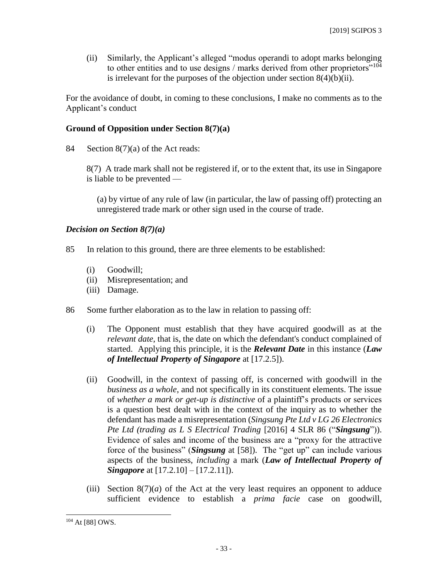(ii) Similarly, the Applicant's alleged "modus operandi to adopt marks belonging to other entities and to use designs / marks derived from other proprietors"<sup>104</sup> is irrelevant for the purposes of the objection under section  $8(4)(b)(ii)$ .

For the avoidance of doubt, in coming to these conclusions, I make no comments as to the Applicant's conduct

### **Ground of Opposition under Section 8(7)(a)**

84 Section 8(7)(a) of the Act reads:

8(7) A trade mark shall not be registered if, or to the extent that, its use in Singapore is liable to be prevented —

(a) by virtue of any rule of law (in particular, the law of passing off) protecting an unregistered trade mark or other sign used in the course of trade.

#### *Decision on Section 8(7)(a)*

- 85 In relation to this ground, there are three elements to be established:
	- (i) Goodwill;
	- (ii) Misrepresentation; and
	- (iii) Damage.
- 86 Some further elaboration as to the law in relation to passing off:
	- (i) The Opponent must establish that they have acquired goodwill as at the *relevant date*, that is, the date on which the defendant's conduct complained of started. Applying this principle, it is the *Relevant Date* in this instance (*Law of Intellectual Property of Singapore* at [17.2.5]).
	- (ii) Goodwill, in the context of passing off, is concerned with goodwill in the *business as a whole*, and not specifically in its constituent elements. The issue of *whether a mark or get-up is distinctive* of a plaintiff's products or services is a question best dealt with in the context of the inquiry as to whether the defendant has made a misrepresentation (*Singsung Pte Ltd v LG 26 Electronics Pte Ltd (trading as L S Electrical Trading* [\[2016\] 4 SLR 86 \(](javascript:void())"*Singsung*")). Evidence of sales and income of the business are a "proxy for the attractive force of the business" (*Singsung* at [58]). The "get up" can include various aspects of the business, *including* a mark (*Law of Intellectual Property of Singapore* at [17.2.10] – [17.2.11]).
	- (iii) Section  $8(7)(a)$  of the Act at the very least requires an opponent to adduce sufficient evidence to establish a *prima facie* case on goodwill,

<sup>104</sup> At [88] OWS.